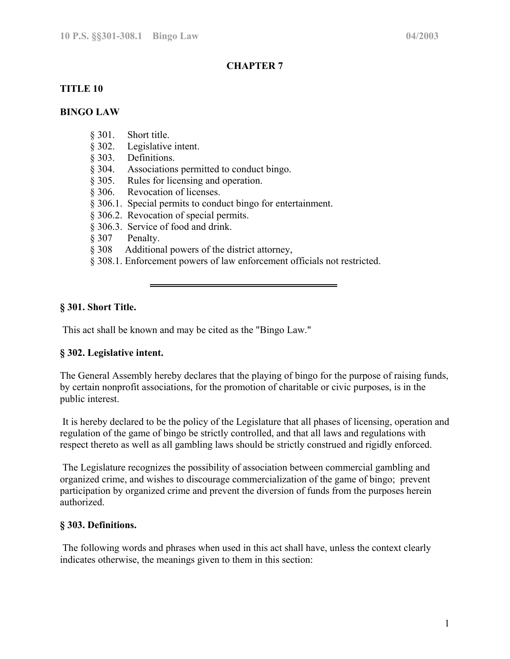# **CHAPTER 7**

# **TITLE 10**

# **BINGO LAW**

- § 301. Short title.
- § 302. Legislative intent.
- § 303. Definitions.
- § 304. Associations permitted to conduct bingo.
- § 305. Rules for licensing and operation.
- § 306. Revocation of licenses.
- § 306.1. Special permits to conduct bingo for entertainment.
- § 306.2. Revocation of special permits.
- § 306.3. Service of food and drink.
- § 307 Penalty.
- § 308 Additional powers of the district attorney,
- § 308.1. Enforcement powers of law enforcement officials not restricted.

# **§ 301. Short Title.**

This act shall be known and may be cited as the "Bingo Law."

## **§ 302. Legislative intent.**

The General Assembly hereby declares that the playing of bingo for the purpose of raising funds, by certain nonprofit associations, for the promotion of charitable or civic purposes, is in the public interest.

 It is hereby declared to be the policy of the Legislature that all phases of licensing, operation and regulation of the game of bingo be strictly controlled, and that all laws and regulations with respect thereto as well as all gambling laws should be strictly construed and rigidly enforced.

 The Legislature recognizes the possibility of association between commercial gambling and organized crime, and wishes to discourage commercialization of the game of bingo; prevent participation by organized crime and prevent the diversion of funds from the purposes herein authorized.

## **§ 303. Definitions.**

 The following words and phrases when used in this act shall have, unless the context clearly indicates otherwise, the meanings given to them in this section: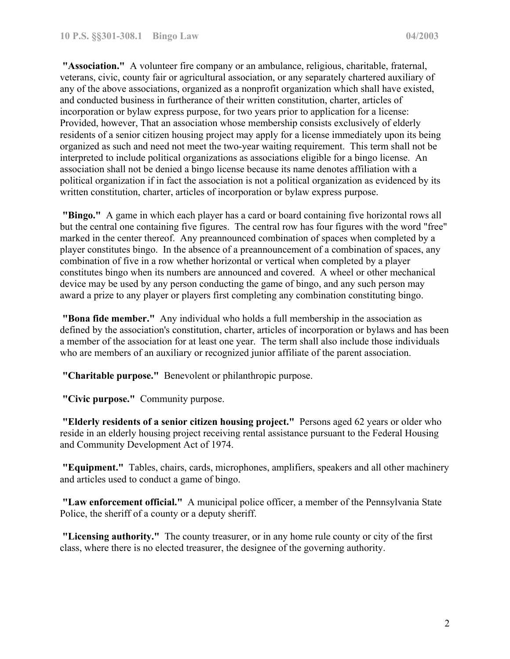**"Association."** A volunteer fire company or an ambulance, religious, charitable, fraternal, veterans, civic, county fair or agricultural association, or any separately chartered auxiliary of any of the above associations, organized as a nonprofit organization which shall have existed, and conducted business in furtherance of their written constitution, charter, articles of incorporation or bylaw express purpose, for two years prior to application for a license: Provided, however, That an association whose membership consists exclusively of elderly residents of a senior citizen housing project may apply for a license immediately upon its being organized as such and need not meet the two-year waiting requirement. This term shall not be interpreted to include political organizations as associations eligible for a bingo license. An association shall not be denied a bingo license because its name denotes affiliation with a political organization if in fact the association is not a political organization as evidenced by its written constitution, charter, articles of incorporation or bylaw express purpose.

**"Bingo."** A game in which each player has a card or board containing five horizontal rows all but the central one containing five figures. The central row has four figures with the word "free" marked in the center thereof. Any preannounced combination of spaces when completed by a player constitutes bingo. In the absence of a preannouncement of a combination of spaces, any combination of five in a row whether horizontal or vertical when completed by a player constitutes bingo when its numbers are announced and covered. A wheel or other mechanical device may be used by any person conducting the game of bingo, and any such person may award a prize to any player or players first completing any combination constituting bingo.

**"Bona fide member."** Any individual who holds a full membership in the association as defined by the association's constitution, charter, articles of incorporation or bylaws and has been a member of the association for at least one year. The term shall also include those individuals who are members of an auxiliary or recognized junior affiliate of the parent association.

**"Charitable purpose."** Benevolent or philanthropic purpose.

**"Civic purpose."** Community purpose.

**"Elderly residents of a senior citizen housing project."** Persons aged 62 years or older who reside in an elderly housing project receiving rental assistance pursuant to the Federal Housing and Community Development Act of 1974.

**"Equipment."** Tables, chairs, cards, microphones, amplifiers, speakers and all other machinery and articles used to conduct a game of bingo.

**"Law enforcement official."** A municipal police officer, a member of the Pennsylvania State Police, the sheriff of a county or a deputy sheriff.

**"Licensing authority."** The county treasurer, or in any home rule county or city of the first class, where there is no elected treasurer, the designee of the governing authority.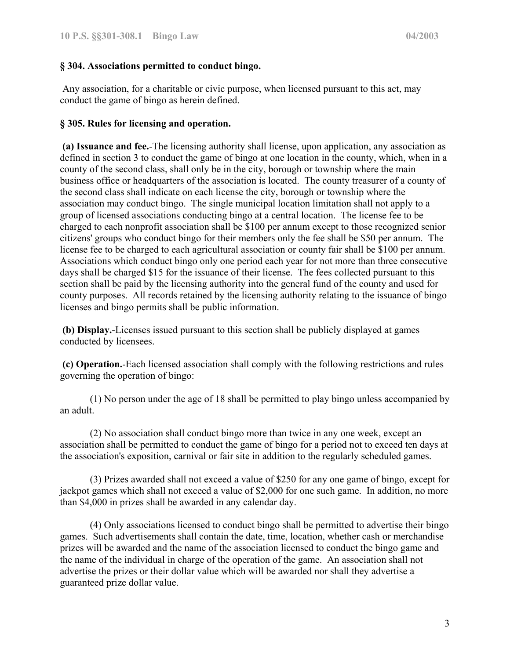# **§ 304. Associations permitted to conduct bingo.**

 Any association, for a charitable or civic purpose, when licensed pursuant to this act, may conduct the game of bingo as herein defined.

# **§ 305. Rules for licensing and operation.**

**(a) Issuance and fee.**-The licensing authority shall license, upon application, any association as defined in section 3 to conduct the game of bingo at one location in the county, which, when in a county of the second class, shall only be in the city, borough or township where the main business office or headquarters of the association is located. The county treasurer of a county of the second class shall indicate on each license the city, borough or township where the association may conduct bingo. The single municipal location limitation shall not apply to a group of licensed associations conducting bingo at a central location. The license fee to be charged to each nonprofit association shall be \$100 per annum except to those recognized senior citizens' groups who conduct bingo for their members only the fee shall be \$50 per annum. The license fee to be charged to each agricultural association or county fair shall be \$100 per annum. Associations which conduct bingo only one period each year for not more than three consecutive days shall be charged \$15 for the issuance of their license. The fees collected pursuant to this section shall be paid by the licensing authority into the general fund of the county and used for county purposes. All records retained by the licensing authority relating to the issuance of bingo licenses and bingo permits shall be public information.

**(b) Display.**-Licenses issued pursuant to this section shall be publicly displayed at games conducted by licensees.

**(c) Operation.**-Each licensed association shall comply with the following restrictions and rules governing the operation of bingo:

(1) No person under the age of 18 shall be permitted to play bingo unless accompanied by an adult.

 (2) No association shall conduct bingo more than twice in any one week, except an association shall be permitted to conduct the game of bingo for a period not to exceed ten days at the association's exposition, carnival or fair site in addition to the regularly scheduled games.

 (3) Prizes awarded shall not exceed a value of \$250 for any one game of bingo, except for jackpot games which shall not exceed a value of \$2,000 for one such game. In addition, no more than \$4,000 in prizes shall be awarded in any calendar day.

 (4) Only associations licensed to conduct bingo shall be permitted to advertise their bingo games. Such advertisements shall contain the date, time, location, whether cash or merchandise prizes will be awarded and the name of the association licensed to conduct the bingo game and the name of the individual in charge of the operation of the game. An association shall not advertise the prizes or their dollar value which will be awarded nor shall they advertise a guaranteed prize dollar value.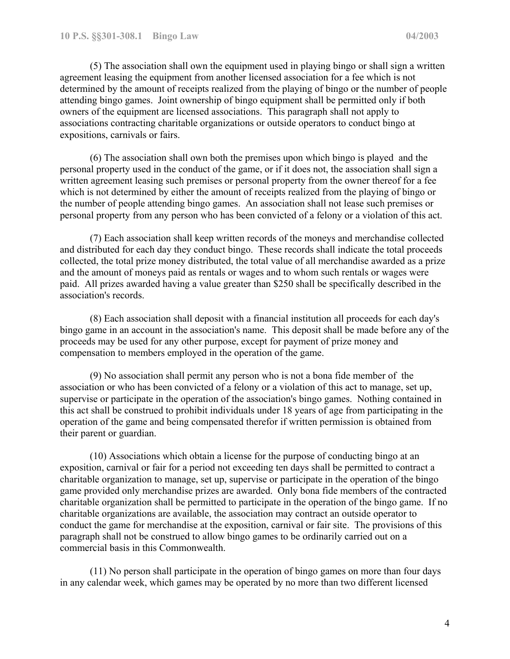(5) The association shall own the equipment used in playing bingo or shall sign a written agreement leasing the equipment from another licensed association for a fee which is not determined by the amount of receipts realized from the playing of bingo or the number of people attending bingo games. Joint ownership of bingo equipment shall be permitted only if both owners of the equipment are licensed associations. This paragraph shall not apply to associations contracting charitable organizations or outside operators to conduct bingo at expositions, carnivals or fairs.

 (6) The association shall own both the premises upon which bingo is played and the personal property used in the conduct of the game, or if it does not, the association shall sign a written agreement leasing such premises or personal property from the owner thereof for a fee which is not determined by either the amount of receipts realized from the playing of bingo or the number of people attending bingo games. An association shall not lease such premises or personal property from any person who has been convicted of a felony or a violation of this act.

 (7) Each association shall keep written records of the moneys and merchandise collected and distributed for each day they conduct bingo. These records shall indicate the total proceeds collected, the total prize money distributed, the total value of all merchandise awarded as a prize and the amount of moneys paid as rentals or wages and to whom such rentals or wages were paid. All prizes awarded having a value greater than \$250 shall be specifically described in the association's records.

 (8) Each association shall deposit with a financial institution all proceeds for each day's bingo game in an account in the association's name. This deposit shall be made before any of the proceeds may be used for any other purpose, except for payment of prize money and compensation to members employed in the operation of the game.

 (9) No association shall permit any person who is not a bona fide member of the association or who has been convicted of a felony or a violation of this act to manage, set up, supervise or participate in the operation of the association's bingo games. Nothing contained in this act shall be construed to prohibit individuals under 18 years of age from participating in the operation of the game and being compensated therefor if written permission is obtained from their parent or guardian.

 (10) Associations which obtain a license for the purpose of conducting bingo at an exposition, carnival or fair for a period not exceeding ten days shall be permitted to contract a charitable organization to manage, set up, supervise or participate in the operation of the bingo game provided only merchandise prizes are awarded. Only bona fide members of the contracted charitable organization shall be permitted to participate in the operation of the bingo game. If no charitable organizations are available, the association may contract an outside operator to conduct the game for merchandise at the exposition, carnival or fair site. The provisions of this paragraph shall not be construed to allow bingo games to be ordinarily carried out on a commercial basis in this Commonwealth.

 (11) No person shall participate in the operation of bingo games on more than four days in any calendar week, which games may be operated by no more than two different licensed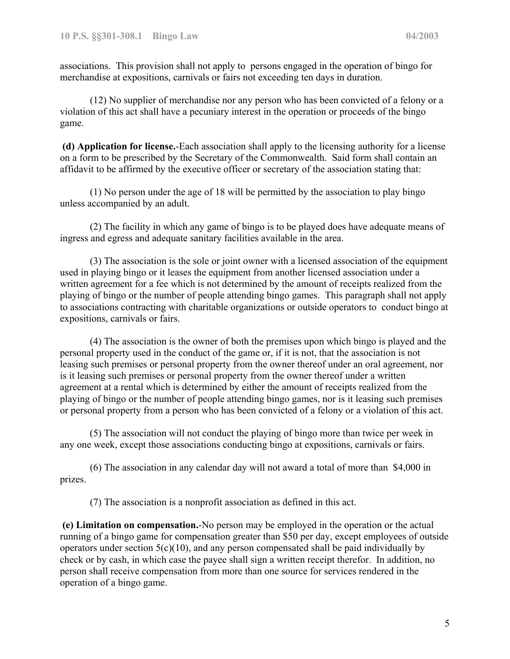associations. This provision shall not apply to persons engaged in the operation of bingo for merchandise at expositions, carnivals or fairs not exceeding ten days in duration.

 (12) No supplier of merchandise nor any person who has been convicted of a felony or a violation of this act shall have a pecuniary interest in the operation or proceeds of the bingo game.

**(d) Application for license.**-Each association shall apply to the licensing authority for a license on a form to be prescribed by the Secretary of the Commonwealth. Said form shall contain an affidavit to be affirmed by the executive officer or secretary of the association stating that:

 (1) No person under the age of 18 will be permitted by the association to play bingo unless accompanied by an adult.

 (2) The facility in which any game of bingo is to be played does have adequate means of ingress and egress and adequate sanitary facilities available in the area.

 (3) The association is the sole or joint owner with a licensed association of the equipment used in playing bingo or it leases the equipment from another licensed association under a written agreement for a fee which is not determined by the amount of receipts realized from the playing of bingo or the number of people attending bingo games. This paragraph shall not apply to associations contracting with charitable organizations or outside operators to conduct bingo at expositions, carnivals or fairs.

 (4) The association is the owner of both the premises upon which bingo is played and the personal property used in the conduct of the game or, if it is not, that the association is not leasing such premises or personal property from the owner thereof under an oral agreement, nor is it leasing such premises or personal property from the owner thereof under a written agreement at a rental which is determined by either the amount of receipts realized from the playing of bingo or the number of people attending bingo games, nor is it leasing such premises or personal property from a person who has been convicted of a felony or a violation of this act.

 (5) The association will not conduct the playing of bingo more than twice per week in any one week, except those associations conducting bingo at expositions, carnivals or fairs.

 (6) The association in any calendar day will not award a total of more than \$4,000 in prizes.

(7) The association is a nonprofit association as defined in this act.

**(e) Limitation on compensation.**-No person may be employed in the operation or the actual running of a bingo game for compensation greater than \$50 per day, except employees of outside operators under section  $5(c)(10)$ , and any person compensated shall be paid individually by check or by cash, in which case the payee shall sign a written receipt therefor. In addition, no person shall receive compensation from more than one source for services rendered in the operation of a bingo game.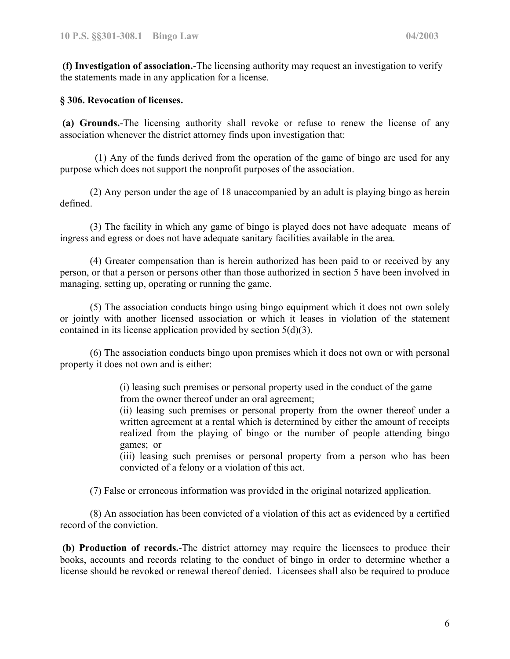**(f) Investigation of association.**-The licensing authority may request an investigation to verify the statements made in any application for a license.

#### **§ 306. Revocation of licenses.**

**(a) Grounds.**-The licensing authority shall revoke or refuse to renew the license of any association whenever the district attorney finds upon investigation that:

(1) Any of the funds derived from the operation of the game of bingo are used for any purpose which does not support the nonprofit purposes of the association.

(2) Any person under the age of 18 unaccompanied by an adult is playing bingo as herein defined.

(3) The facility in which any game of bingo is played does not have adequate means of ingress and egress or does not have adequate sanitary facilities available in the area.

(4) Greater compensation than is herein authorized has been paid to or received by any person, or that a person or persons other than those authorized in section 5 have been involved in managing, setting up, operating or running the game.

(5) The association conducts bingo using bingo equipment which it does not own solely or jointly with another licensed association or which it leases in violation of the statement contained in its license application provided by section 5(d)(3).

(6) The association conducts bingo upon premises which it does not own or with personal property it does not own and is either:

> (i) leasing such premises or personal property used in the conduct of the game from the owner thereof under an oral agreement;

(ii) leasing such premises or personal property from the owner thereof under a written agreement at a rental which is determined by either the amount of receipts realized from the playing of bingo or the number of people attending bingo games; or

(iii) leasing such premises or personal property from a person who has been convicted of a felony or a violation of this act.

(7) False or erroneous information was provided in the original notarized application.

(8) An association has been convicted of a violation of this act as evidenced by a certified record of the conviction.

**(b) Production of records.**-The district attorney may require the licensees to produce their books, accounts and records relating to the conduct of bingo in order to determine whether a license should be revoked or renewal thereof denied. Licensees shall also be required to produce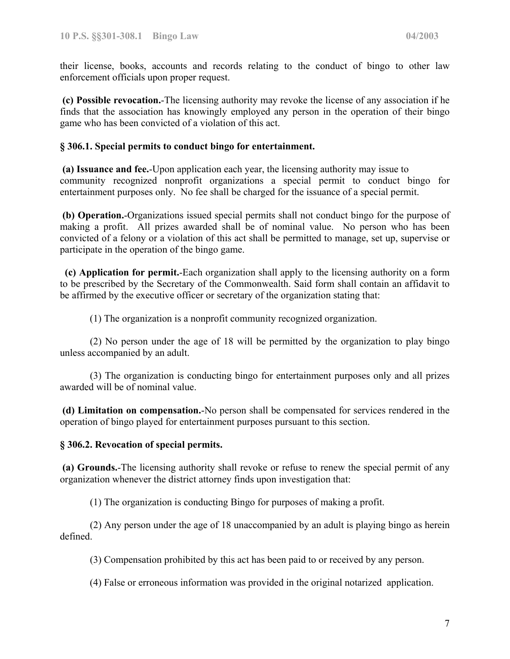their license, books, accounts and records relating to the conduct of bingo to other law enforcement officials upon proper request.

**(c) Possible revocation.**-The licensing authority may revoke the license of any association if he finds that the association has knowingly employed any person in the operation of their bingo game who has been convicted of a violation of this act.

## **§ 306.1. Special permits to conduct bingo for entertainment.**

**(a) Issuance and fee.**-Upon application each year, the licensing authority may issue to community recognized nonprofit organizations a special permit to conduct bingo for entertainment purposes only. No fee shall be charged for the issuance of a special permit.

**(b) Operation.**-Organizations issued special permits shall not conduct bingo for the purpose of making a profit. All prizes awarded shall be of nominal value. No person who has been convicted of a felony or a violation of this act shall be permitted to manage, set up, supervise or participate in the operation of the bingo game.

 **(c) Application for permit.**-Each organization shall apply to the licensing authority on a form to be prescribed by the Secretary of the Commonwealth. Said form shall contain an affidavit to be affirmed by the executive officer or secretary of the organization stating that:

(1) The organization is a nonprofit community recognized organization.

(2) No person under the age of 18 will be permitted by the organization to play bingo unless accompanied by an adult.

(3) The organization is conducting bingo for entertainment purposes only and all prizes awarded will be of nominal value.

**(d) Limitation on compensation.**-No person shall be compensated for services rendered in the operation of bingo played for entertainment purposes pursuant to this section.

## **§ 306.2. Revocation of special permits.**

**(a) Grounds.**-The licensing authority shall revoke or refuse to renew the special permit of any organization whenever the district attorney finds upon investigation that:

(1) The organization is conducting Bingo for purposes of making a profit.

(2) Any person under the age of 18 unaccompanied by an adult is playing bingo as herein defined.

(3) Compensation prohibited by this act has been paid to or received by any person.

(4) False or erroneous information was provided in the original notarized application.